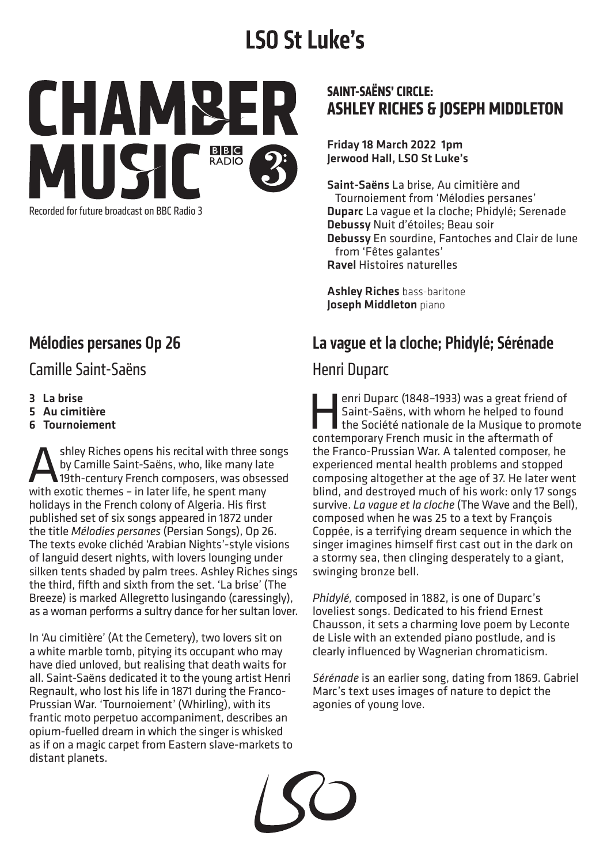# **LSO St Luke's**



# Mélodies persanes Op 26

#### Camille Saint-Saëns

- 3 La brise
- 5 Au cimitière
- 6 Tournoiement

shley Riches opens his recital with three songs by Camille Saint-Saëns, who, like many late 19th-century French composers, was obsessed with exotic themes – in later life, he spent many holidays in the French colony of Algeria. His first published set of six songs appeared in 1872 under the title *Mélodies persanes* (Persian Songs), Op 26. The texts evoke clichéd 'Arabian Nights'-style visions of languid desert nights, with lovers lounging under silken tents shaded by palm trees. Ashley Riches sings the third, fifth and sixth from the set. 'La brise' (The Breeze) is marked Allegretto lusingando (caressingly), as a woman performs a sultry dance for her sultan lover.

In 'Au cimitière' (At the Cemetery), two lovers sit on a white marble tomb, pitying its occupant who may have died unloved, but realising that death waits for all. Saint-Saëns dedicated it to the young artist Henri Regnault, who lost his life in 1871 during the Franco-Prussian War. 'Tournoiement' (Whirling), with its frantic moto perpetuo accompaniment, describes an opium-fuelled dream in which the singer is whisked as if on a magic carpet from Eastern slave-markets to distant planets.

#### **SAINT-SAËNS' CIRCLE: ASHLEY RICHES & JOSEPH MIDDLETON**

Friday 18 March 2022 1pm Jerwood Hall, LSO St Luke's

Saint-Saëns La brise, Au cimitière and Tournoiement from 'Mélodies persanes' Duparc La vague et la cloche; Phidylé; Serenade Debussy Nuit d'étoiles; Beau soir Debussy En sourdine, Fantoches and Clair de lune from 'Fêtes galantes' Ravel Histoires naturelles

**Ashley Riches bass-baritone** Joseph Middleton piano

#### La vague et la cloche; Phidylé; Sérénade

#### Henri Duparc

enri Duparc (1848-1933) was a great friend of<br>Saint-Saëns, with whom he helped to found<br>the Société nationale de la Musique to promo Saint-Saëns, with whom he helped to found the Société nationale de la Musique to promote contemporary French music in the aftermath of the Franco-Prussian War. A talented composer, he experienced mental health problems and stopped composing altogether at the age of 37. He later went blind, and destroyed much of his work: only 17 songs survive. *La vague et la cloche* (The Wave and the Bell), composed when he was 25 to a text by François Coppée, is a terrifying dream sequence in which the singer imagines himself first cast out in the dark on a stormy sea, then clinging desperately to a giant, swinging bronze bell.

*Phidylé,* composed in 1882, is one of Duparc's loveliest songs. Dedicated to his friend Ernest Chausson, it sets a charming love poem by Leconte de Lisle with an extended piano postlude, and is clearly influenced by Wagnerian chromaticism.

*Sérénade* is an earlier song, dating from 1869. Gabriel Marc's text uses images of nature to depict the agonies of young love.

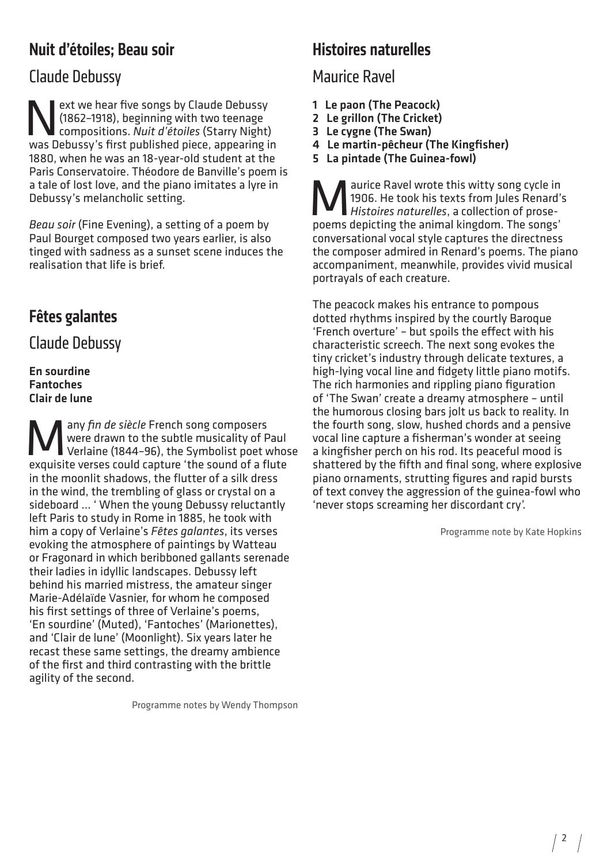# Nuit d'étoiles; Beau soir

## Claude Debussy

Ext we hear five songs by Claude Debussy<br>
(1862-1918), beginning with two teenage<br>
compositions. Nuit d'étoiles (Starry Night) (1862–1918), beginning with two teenage compositions. *Nuit d'étoiles* (Starry Night) was Debussy's first published piece, appearing in 1880, when he was an 18-year-old student at the Paris Conservatoire. Théodore de Banville's poem is a tale of lost love, and the piano imitates a lyre in Debussy's melancholic setting.

*Beau soir* (Fine Evening), a setting of a poem by Paul Bourget composed two years earlier, is also tinged with sadness as a sunset scene induces the realisation that life is brief.

# Fêtes galantes

Claude Debussy

En sourdine Fantoches Clair de lune

**Many fin de siècle French song composers**<br>Werlaine (1844-96), the Symbolist poet v<br>exquisite verses could canture 'the sound of a fl were drawn to the subtle musicality of Paul Verlaine (1844–96), the Symbolist poet whose exquisite verses could capture 'the sound of a flute in the moonlit shadows, the flutter of a silk dress in the wind, the trembling of glass or crystal on a sideboard … ' When the young Debussy reluctantly left Paris to study in Rome in 1885, he took with him a copy of Verlaine's *Fêtes galantes*, its verses evoking the atmosphere of paintings by Watteau or Fragonard in which beribboned gallants serenade their ladies in idyllic landscapes. Debussy left behind his married mistress, the amateur singer Marie-Adélaïde Vasnier, for whom he composed his first settings of three of Verlaine's poems, 'En sourdine' (Muted), 'Fantoches' (Marionettes), and 'Clair de lune' (Moonlight). Six years later he recast these same settings, the dreamy ambience of the first and third contrasting with the brittle agility of the second.

Programme notes by Wendy Thompson

### Histoires naturelles

#### Maurice Ravel

- 1 Le paon (The Peacock)
- 2 Le grillon (The Cricket)
- 3 Le cygne (The Swan)
- 4 Le martin-pêcheur (The Kingfisher)
- 5 La pintade (The Guinea-fowl)

**Maurice Ravel wrote this witty song cycle in**<br>1906. He took his texts from Jules Renard's<br>nooms depicting the animal kingdom. The songs' 1906. He took his texts from Jules Renard's *Histoires naturelles*, a collection of prosepoems depicting the animal kingdom. The songs' conversational vocal style captures the directness the composer admired in Renard's poems. The piano accompaniment, meanwhile, provides vivid musical portrayals of each creature.

The peacock makes his entrance to pompous dotted rhythms inspired by the courtly Baroque 'French overture' – but spoils the effect with his characteristic screech. The next song evokes the tiny cricket's industry through delicate textures, a high-lying vocal line and fidgety little piano motifs. The rich harmonies and rippling piano figuration of 'The Swan' create a dreamy atmosphere – until the humorous closing bars jolt us back to reality. In the fourth song, slow, hushed chords and a pensive vocal line capture a fisherman's wonder at seeing a kingfisher perch on his rod. Its peaceful mood is shattered by the fifth and final song, where explosive piano ornaments, strutting figures and rapid bursts of text convey the aggression of the guinea-fowl who 'never stops screaming her discordant cry'.

Programme note by Kate Hopkins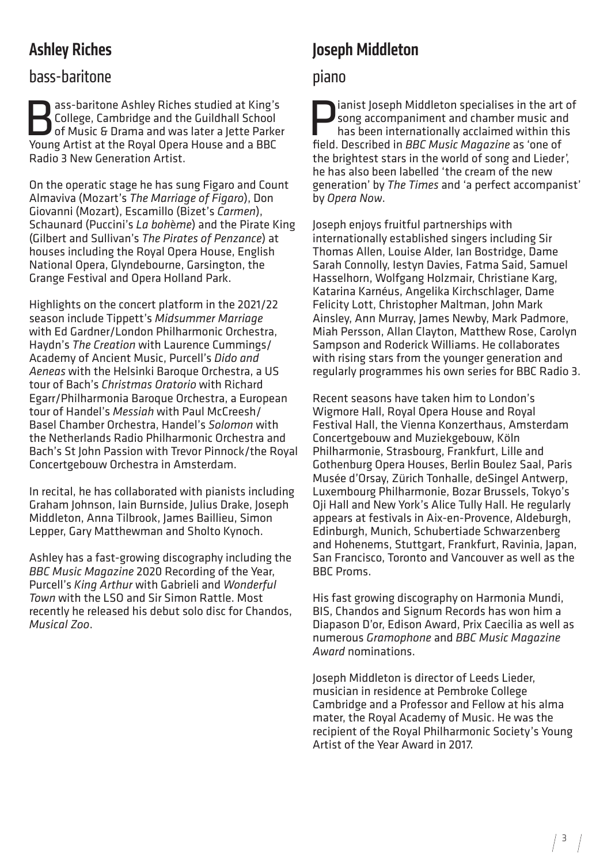# Ashley Riches

#### bass-baritone

**Bass-baritone Ashley Riches studied at King's**<br>College, Cambridge and the Guildhall School<br>of Music & Drama and was later a Jette Parker<br>Noung Artist at the Poval Opera House and a BBC College, Cambridge and the Guildhall School of Music & Drama and was later a Jette Parker Young Artist at the Royal Opera House and a BBC Radio 3 New Generation Artist.

On the operatic stage he has sung Figaro and Count Almaviva (Mozart's *The Marriage of Figaro*), Don Giovanni (Mozart), Escamillo (Bizet's *Carmen*), Schaunard (Puccini's *La boh*è*me*) and the Pirate King (Gilbert and Sullivan's *The Pirates of Penzance*) at houses including the Royal Opera House, English National Opera, Glyndebourne, Garsington, the Grange Festival and Opera Holland Park.

Highlights on the concert platform in the 2021/22 season include Tippett's *Midsummer Marriage*  with Ed Gardner/London Philharmonic Orchestra, Haydn's *The Creation* with Laurence Cummings/ Academy of Ancient Music, Purcell's *Dido and Aeneas* with the Helsinki Baroque Orchestra, a US tour of Bach's *Christmas Oratorio* with Richard Egarr/Philharmonia Baroque Orchestra, a European tour of Handel's *Messiah* with Paul McCreesh/ Basel Chamber Orchestra, Handel's *Solomon* with the Netherlands Radio Philharmonic Orchestra and Bach's St John Passion with Trevor Pinnock/the Royal Concertgebouw Orchestra in Amsterdam.

In recital, he has collaborated with pianists including Graham Johnson, Iain Burnside, Julius Drake, Joseph Middleton, Anna Tilbrook, James Baillieu, Simon Lepper, Gary Matthewman and Sholto Kynoch.

Ashley has a fast-growing discography including the *BBC Music Magazine* 2020 Recording of the Year, Purcell's *King Arthur* with Gabrieli and *Wonderful Town* with the LSO and Sir Simon Rattle. Most recently he released his debut solo disc for Chandos, *Musical Zoo*.

# Joseph Middleton

#### piano

ianist Joseph Middleton specialises in the art of song accompaniment and chamber music and has been internationally acclaimed within this field. Described in *BBC Music Magazine* as 'one of the brightest stars in the world of song and Lieder', he has also been labelled 'the cream of the new generation' by *The Times* and 'a perfect accompanist' by *Opera Now*.

Joseph enjoys fruitful partnerships with internationally established singers including Sir Thomas Allen, Louise Alder, Ian Bostridge, Dame Sarah Connolly, Iestyn Davies, Fatma Said, Samuel Hasselhorn, Wolfgang Holzmair, Christiane Karg, Katarina Karnéus, Angelika Kirchschlager, Dame Felicity Lott, Christopher Maltman, John Mark Ainsley, Ann Murray, James Newby, Mark Padmore, Miah Persson, Allan Clayton, Matthew Rose, Carolyn Sampson and Roderick Williams. He collaborates with rising stars from the younger generation and regularly programmes his own series for BBC Radio 3.

Recent seasons have taken him to London's Wigmore Hall, Royal Opera House and Royal Festival Hall, the Vienna Konzerthaus, Amsterdam Concertgebouw and Muziekgebouw, Köln Philharmonie, Strasbourg, Frankfurt, Lille and Gothenburg Opera Houses, Berlin Boulez Saal, Paris Musée d'Orsay, Zürich Tonhalle, deSingel Antwerp, Luxembourg Philharmonie, Bozar Brussels, Tokyo's Oji Hall and New York's Alice Tully Hall. He regularly appears at festivals in Aix-en-Provence, Aldeburgh, Edinburgh, Munich, Schubertiade Schwarzenberg and Hohenems, Stuttgart, Frankfurt, Ravinia, Japan, San Francisco, Toronto and Vancouver as well as the BBC Proms.

His fast growing discography on Harmonia Mundi, BIS, Chandos and Signum Records has won him a Diapason D'or, Edison Award, Prix Caecilia as well as numerous *Gramophone* and *BBC Music Magazine Award* nominations.

Joseph Middleton is director of Leeds Lieder, musician in residence at Pembroke College Cambridge and a Professor and Fellow at his alma mater, the Royal Academy of Music. He was the recipient of the Royal Philharmonic Society's Young Artist of the Year Award in 2017.